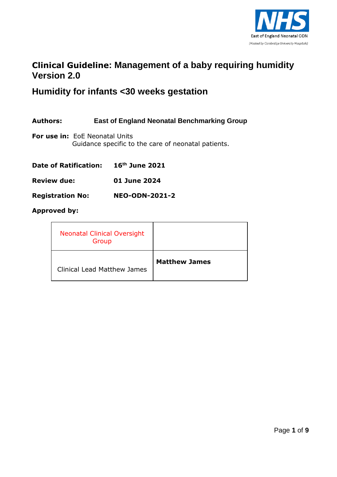

### **Clinical Guideline: Management of a baby requiring humidity Version 2.0**

## **Humidity for infants <30 weeks gestation**

**Authors: East of England Neonatal Benchmarking Group**

**For use in:** EoE Neonatal Units Guidance specific to the care of neonatal patients.

| <b>Date of Ratification:</b> | $16th$ June 2021 |
|------------------------------|------------------|
| <b>Review due:</b>           | 01 June 2024     |

**Registration No: NEO-ODN-2021-2**

#### **Approved by:**

| <b>Neonatal Clinical Oversight</b><br>Group |                      |
|---------------------------------------------|----------------------|
| <b>Clinical Lead Matthew James</b>          | <b>Matthew James</b> |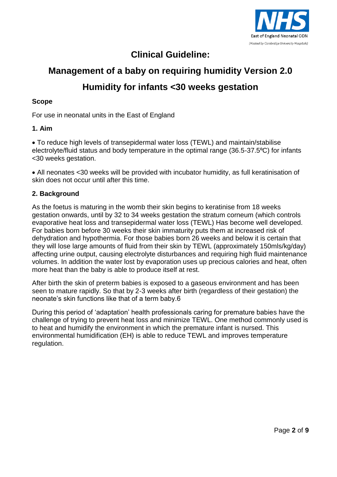

## **Clinical Guideline:**

# **Management of a baby on requiring humidity Version 2.0 Humidity for infants <30 weeks gestation**

#### **Scope**

For use in neonatal units in the East of England

#### **1. Aim**

 To reduce high levels of transepidermal water loss (TEWL) and maintain/stabilise electrolyte/fluid status and body temperature in the optimal range (36.5-37.5°C) for infants <30 weeks gestation.

 All neonates <30 weeks will be provided with incubator humidity, as full keratinisation of skin does not occur until after this time.

#### **2. Background**

As the foetus is maturing in the womb their skin begins to keratinise from 18 weeks gestation onwards, until by 32 to 34 weeks gestation the stratum corneum (which controls evaporative heat loss and transepidermal water loss (TEWL) Has become well developed. For babies born before 30 weeks their skin immaturity puts them at increased risk of dehydration and hypothermia. For those babies born 26 weeks and below it is certain that they will lose large amounts of fluid from their skin by TEWL (approximately 150mls/kg/day) affecting urine output, causing electrolyte disturbances and requiring high fluid maintenance volumes. In addition the water lost by evaporation uses up precious calories and heat, often more heat than the baby is able to produce itself at rest.

After birth the skin of preterm babies is exposed to a gaseous environment and has been seen to mature rapidly. So that by 2-3 weeks after birth (regardless of their gestation) the neonate's skin functions like that of a term baby.6

During this period of 'adaptation' health professionals caring for premature babies have the challenge of trying to prevent heat loss and minimize TEWL. One method commonly used is to heat and humidify the environment in which the premature infant is nursed. This environmental humidification (EH) is able to reduce TEWL and improves temperature regulation.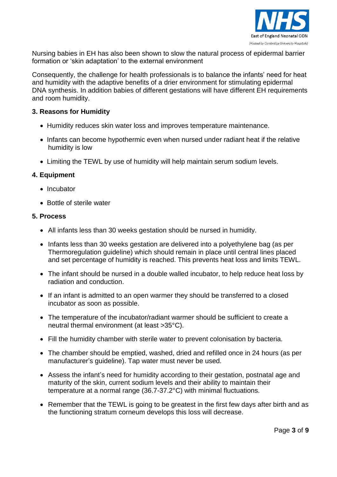

Nursing babies in EH has also been shown to slow the natural process of epidermal barrier formation or 'skin adaptation' to the external environment

Consequently, the challenge for health professionals is to balance the infants' need for heat and humidity with the adaptive benefits of a drier environment for stimulating epidermal DNA synthesis. In addition babies of different gestations will have different EH requirements and room humidity.

#### **3. Reasons for Humidity**

- Humidity reduces skin water loss and improves temperature maintenance.
- Infants can become hypothermic even when nursed under radiant heat if the relative humidity is low
- Limiting the TEWL by use of humidity will help maintain serum sodium levels.

#### **4. Equipment**

- Incubator
- Bottle of sterile water

#### **5. Process**

- All infants less than 30 weeks gestation should be nursed in humidity.
- Infants less than 30 weeks gestation are delivered into a polyethylene bag (as per Thermoregulation guideline) which should remain in place until central lines placed and set percentage of humidity is reached. This prevents heat loss and limits TEWL.
- The infant should be nursed in a double walled incubator, to help reduce heat loss by radiation and conduction.
- If an infant is admitted to an open warmer they should be transferred to a closed incubator as soon as possible.
- The temperature of the incubator/radiant warmer should be sufficient to create a neutral thermal environment (at least >35°C).
- Fill the humidity chamber with sterile water to prevent colonisation by bacteria.
- The chamber should be emptied, washed, dried and refilled once in 24 hours (as per manufacturer's guideline). Tap water must never be used.
- Assess the infant's need for humidity according to their gestation, postnatal age and maturity of the skin, current sodium levels and their ability to maintain their temperature at a normal range (36.7-37.2°C) with minimal fluctuations.
- Remember that the TEWL is going to be greatest in the first few days after birth and as the functioning stratum corneum develops this loss will decrease.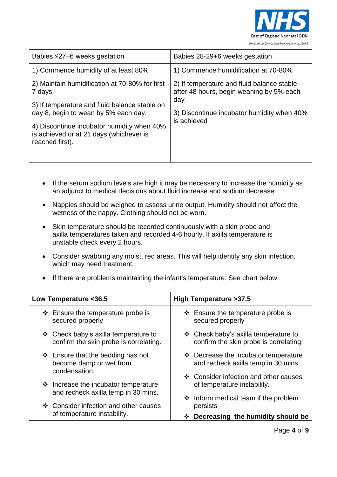

| Babies $\leq$ 27+6 weeks gestation                                                                                                                | Babies 28-29+6 weeks gestation                                                                                                                             |
|---------------------------------------------------------------------------------------------------------------------------------------------------|------------------------------------------------------------------------------------------------------------------------------------------------------------|
| 1) Commence humidity of at least 80%                                                                                                              | 1) Commence humidification at 70-80%                                                                                                                       |
| 2) Maintain humidification at 70-80% for first<br>7 days<br>3) If temperature and fluid balance stable on<br>day 8, begin to wean by 5% each day. | 2) If temperature and fluid balance stable<br>after 48 hours, begin weaning by 5% each<br>day<br>3) Discontinue incubator humidity when 40%<br>is achieved |
| 4) Discontinue incubator humidity when 40%<br>is achieved or at 21 days (whichever is<br>reached first).                                          |                                                                                                                                                            |

- If the serum sodium levels are high it may be necessary to increase the humidity as an adjunct to medical decisions about fluid increase and sodium decrease.
- Nappies should be weighed to assess urine output. Humidity should not affect the wetness of the nappy. Clothing should not be worn.
- Skin temperature should be recorded continuously with a skin probe and axilla temperatures taken and recorded 4-6 hourly. If axilla temperature is unstable check every 2 hours.
- Consider swabbing any moist, red areas. This will help identify any skin infection, which may need treatment.
- If there are problems maintaining the infant's temperature: See chart below

| Low Temperature <36.5                                                                                       | High Temperature > 37.5                                                        |
|-------------------------------------------------------------------------------------------------------------|--------------------------------------------------------------------------------|
| $\div$ Ensure the temperature probe is<br>secured properly                                                  | $\div$ Ensure the temperature probe is<br>secured properly                     |
| $\div$ Check baby's axilla temperature to<br>confirm the skin probe is correlating.                         | ❖ Check baby's axilla temperature to<br>confirm the skin probe is correlating. |
| $\div$ Ensure that the bedding has not<br>become damp or wet from<br>condensation.                          | ❖ Decrease the incubator temperature<br>and recheck axilla temp in 30 mins.    |
| $\div$ Increase the incubator temperature                                                                   | ❖ Consider infection and other causes<br>of temperature instability.           |
| and recheck axilla temp in 30 mins.<br>❖ Consider infection and other causes<br>of temperature instability. | $\div$ Inform medical team if the problem<br>persists                          |
|                                                                                                             | Decreasing the humidity should be<br>❖                                         |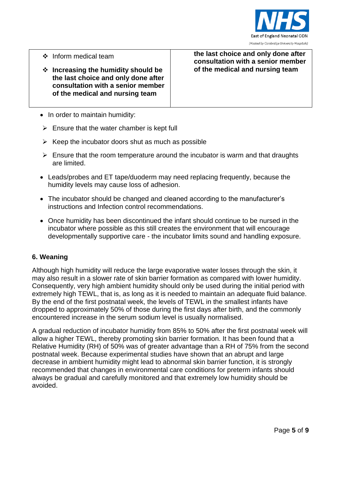

- ❖ Inform medical team
- **Increasing the humidity should be the last choice and only done after consultation with a senior member of the medical and nursing team**

**the last choice and only done after consultation with a senior member of the medical and nursing team** 

- In order to maintain humidity:
- $\triangleright$  Ensure that the water chamber is kept full
- $\triangleright$  Keep the incubator doors shut as much as possible
- $\triangleright$  Ensure that the room temperature around the incubator is warm and that draughts are limited.
- Leads/probes and ET tape/duoderm may need replacing frequently, because the humidity levels may cause loss of adhesion.
- The incubator should be changed and cleaned according to the manufacturer's instructions and Infection control recommendations.
- Once humidity has been discontinued the infant should continue to be nursed in the incubator where possible as this still creates the environment that will encourage developmentally supportive care - the incubator limits sound and handling exposure.

#### **6. Weaning**

Although high humidity will reduce the large evaporative water losses through the skin, it may also result in a slower rate of skin barrier formation as compared with lower humidity. Consequently, very high ambient humidity should only be used during the initial period with extremely high TEWL, that is, as long as it is needed to maintain an adequate fluid balance. By the end of the first postnatal week, the levels of TEWL in the smallest infants have dropped to approximately 50% of those during the first days after birth, and the commonly encountered increase in the serum sodium level is usually normalised.

A gradual reduction of incubator humidity from 85% to 50% after the first postnatal week will allow a higher TEWL, thereby promoting skin barrier formation. It has been found that a Relative Humidity (RH) of 50% was of greater advantage than a RH of 75% from the second postnatal week. Because experimental studies have shown that an abrupt and large decrease in ambient humidity might lead to abnormal skin barrier function, it is strongly recommended that changes in environmental care conditions for preterm infants should always be gradual and carefully monitored and that extremely low humidity should be avoided.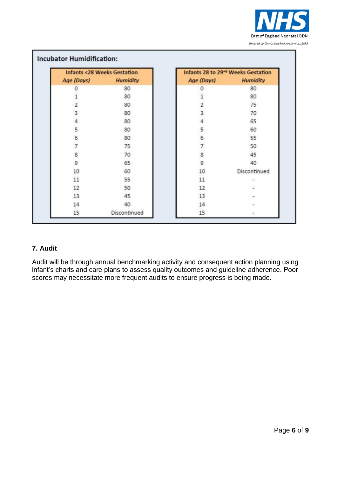

| <b>Infants &lt;28 Weeks Gestation</b> |                     |                | Infants 28 to 29 <sup>+6</sup> Weeks Gestation |  |
|---------------------------------------|---------------------|----------------|------------------------------------------------|--|
|                                       | Age (Days) Humidity | Age (Days)     | <b>Humidity</b>                                |  |
| Ω                                     | 80                  |                | 80                                             |  |
|                                       | 80                  |                | 80                                             |  |
| $\overline{2}$                        | 80                  | $\overline{2}$ | 75                                             |  |
| 3                                     | 80                  | 3              | 70                                             |  |
| $\overline{4}$                        | 80                  | 4              | 65                                             |  |
| 5                                     | 80                  | 5              | 60                                             |  |
| 6                                     | 80                  | 6              | 55                                             |  |
| 7                                     | 75                  |                | 50                                             |  |
| 8                                     | 70                  | 8              | 45                                             |  |
| 9                                     | 65                  | 9              | 40                                             |  |
| 10                                    | 60                  | 10             | Discontinued                                   |  |
| 11                                    | 55                  | 11             |                                                |  |
| 12                                    | 50                  | 12             |                                                |  |
| 13                                    | 45                  | 13             |                                                |  |
| 14                                    | 40                  | 14             |                                                |  |
| 15                                    | Discontinued        | 15             |                                                |  |

#### **7. Audit**

Audit will be through annual benchmarking activity and consequent action planning using infant's charts and care plans to assess quality outcomes and guideline adherence. Poor scores may necessitate more frequent audits to ensure progress is being made.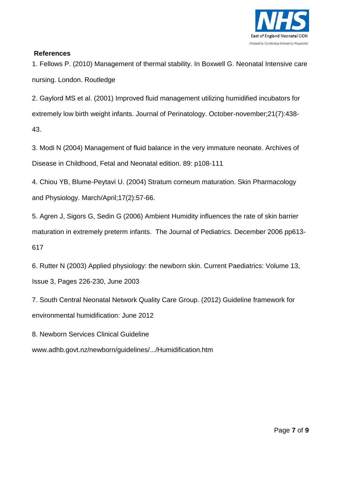

#### **References**

1. Fellows P. (2010) Management of thermal stability. In Boxwell G. Neonatal Intensive care nursing. London. Routledge

2. Gaylord MS et al. (2001) Improved fluid management utilizing humidified incubators for extremely low birth weight infants. Journal of Perinatology. October-november;21(7):438- 43.

3. Modi N (2004) Management of fluid balance in the very immature neonate. Archives of Disease in Childhood, Fetal and Neonatal edition. 89: p108-111

4. Chiou YB, Blume-Peytavi U. (2004) Stratum corneum maturation. Skin Pharmacology and Physiology. March/April;17(2):57-66.

5. Agren J, Sigors G, Sedin G (2006) Ambient Humidity influences the rate of skin barrier maturation in extremely preterm infants. The Journal of Pediatrics. December 2006 pp613- 617

6. Rutter N (2003) Applied physiology: the newborn skin. Current Paediatrics: Volume 13, Issue 3, Pages 226-230, June 2003

7. South Central Neonatal Network Quality Care Group. (2012) Guideline framework for environmental humidification: June 2012

8. Newborn Services Clinical Guideline

www.adhb.govt.nz/newborn/guidelines/.../Humidification.htm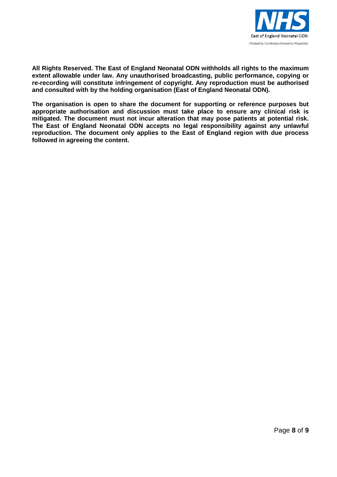

**All Rights Reserved. The East of England Neonatal ODN withholds all rights to the maximum extent allowable under law. Any unauthorised broadcasting, public performance, copying or re-recording will constitute infringement of copyright. Any reproduction must be authorised and consulted with by the holding organisation (East of England Neonatal ODN).**

**The organisation is open to share the document for supporting or reference purposes but appropriate authorisation and discussion must take place to ensure any clinical risk is mitigated. The document must not incur alteration that may pose patients at potential risk. The East of England Neonatal ODN accepts no legal responsibility against any unlawful reproduction. The document only applies to the East of England region with due process followed in agreeing the content.**